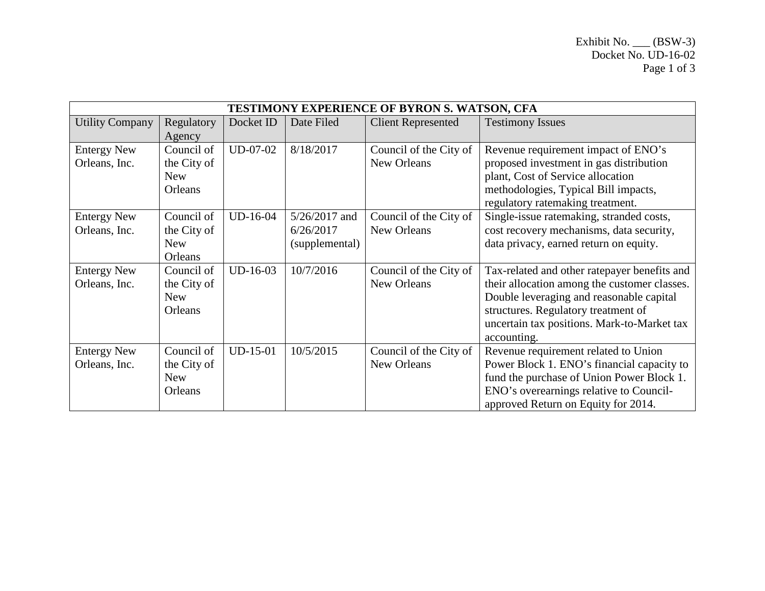| TESTIMONY EXPERIENCE OF BYRON S. WATSON, CFA |                                                    |            |                                                |                                              |                                                                                                                                                                                                                                               |  |  |  |
|----------------------------------------------|----------------------------------------------------|------------|------------------------------------------------|----------------------------------------------|-----------------------------------------------------------------------------------------------------------------------------------------------------------------------------------------------------------------------------------------------|--|--|--|
| <b>Utility Company</b>                       | Regulatory<br>Agency                               | Docket ID  | Date Filed                                     | <b>Client Represented</b>                    | <b>Testimony Issues</b>                                                                                                                                                                                                                       |  |  |  |
| <b>Entergy New</b><br>Orleans, Inc.          | Council of<br>the City of<br><b>New</b><br>Orleans | UD-07-02   | 8/18/2017                                      | Council of the City of<br>New Orleans        | Revenue requirement impact of ENO's<br>proposed investment in gas distribution<br>plant, Cost of Service allocation<br>methodologies, Typical Bill impacts,<br>regulatory ratemaking treatment.                                               |  |  |  |
| <b>Entergy New</b><br>Orleans, Inc.          | Council of<br>the City of<br><b>New</b><br>Orleans | UD-16-04   | $5/26/2017$ and<br>6/26/2017<br>(supplemental) | Council of the City of<br>New Orleans        | Single-issue ratemaking, stranded costs,<br>cost recovery mechanisms, data security,<br>data privacy, earned return on equity.                                                                                                                |  |  |  |
| <b>Entergy New</b><br>Orleans, Inc.          | Council of<br>the City of<br><b>New</b><br>Orleans | UD-16-03   | 10/7/2016                                      | Council of the City of<br>New Orleans        | Tax-related and other ratepayer benefits and<br>their allocation among the customer classes.<br>Double leveraging and reasonable capital<br>structures. Regulatory treatment of<br>uncertain tax positions. Mark-to-Market tax<br>accounting. |  |  |  |
| <b>Entergy New</b><br>Orleans, Inc.          | Council of<br>the City of<br><b>New</b><br>Orleans | $UD-15-01$ | 10/5/2015                                      | Council of the City of<br><b>New Orleans</b> | Revenue requirement related to Union<br>Power Block 1. ENO's financial capacity to<br>fund the purchase of Union Power Block 1.<br>ENO's overearnings relative to Council-<br>approved Return on Equity for 2014.                             |  |  |  |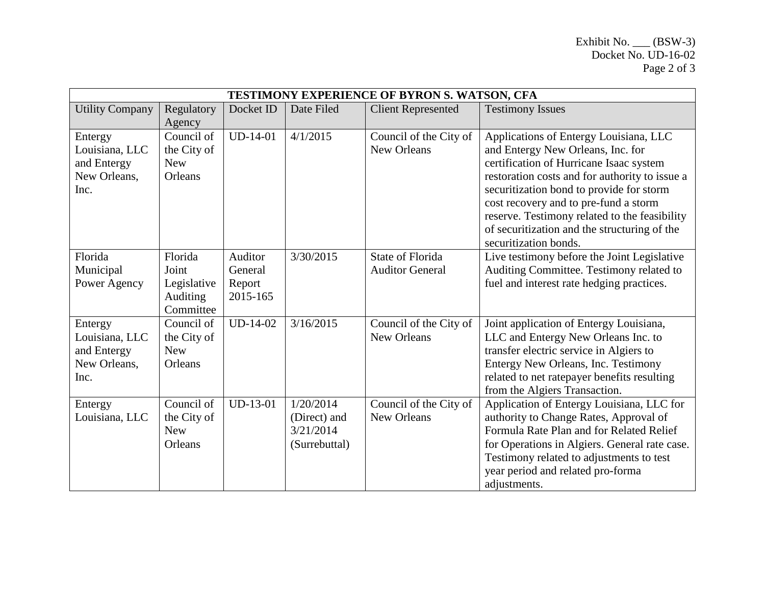| TESTIMONY EXPERIENCE OF BYRON S. WATSON, CFA                     |                                                          |                                          |                                                         |                                                   |                                                                                                                                                                                                                                                                                                                                                                                         |  |  |
|------------------------------------------------------------------|----------------------------------------------------------|------------------------------------------|---------------------------------------------------------|---------------------------------------------------|-----------------------------------------------------------------------------------------------------------------------------------------------------------------------------------------------------------------------------------------------------------------------------------------------------------------------------------------------------------------------------------------|--|--|
| <b>Utility Company</b>                                           | Regulatory<br>Agency                                     | Docket ID                                | Date Filed                                              | <b>Client Represented</b>                         | <b>Testimony Issues</b>                                                                                                                                                                                                                                                                                                                                                                 |  |  |
| Entergy<br>Louisiana, LLC<br>and Entergy<br>New Orleans.<br>Inc. | Council of<br>the City of<br><b>New</b><br>Orleans       | $UD-14-01$                               | 4/1/2015                                                | Council of the City of<br>New Orleans             | Applications of Entergy Louisiana, LLC<br>and Entergy New Orleans, Inc. for<br>certification of Hurricane Isaac system<br>restoration costs and for authority to issue a<br>securitization bond to provide for storm<br>cost recovery and to pre-fund a storm<br>reserve. Testimony related to the feasibility<br>of securitization and the structuring of the<br>securitization bonds. |  |  |
| Florida<br>Municipal<br>Power Agency                             | Florida<br>Joint<br>Legislative<br>Auditing<br>Committee | Auditor<br>General<br>Report<br>2015-165 | 3/30/2015                                               | <b>State of Florida</b><br><b>Auditor General</b> | Live testimony before the Joint Legislative<br>Auditing Committee. Testimony related to<br>fuel and interest rate hedging practices.                                                                                                                                                                                                                                                    |  |  |
| Entergy<br>Louisiana, LLC<br>and Entergy<br>New Orleans,<br>Inc. | Council of<br>the City of<br><b>New</b><br>Orleans       | UD-14-02                                 | 3/16/2015                                               | Council of the City of<br>New Orleans             | Joint application of Entergy Louisiana,<br>LLC and Entergy New Orleans Inc. to<br>transfer electric service in Algiers to<br>Entergy New Orleans, Inc. Testimony<br>related to net ratepayer benefits resulting<br>from the Algiers Transaction.                                                                                                                                        |  |  |
| Entergy<br>Louisiana, LLC                                        | Council of<br>the City of<br><b>New</b><br>Orleans       | $UD-13-01$                               | 1/20/2014<br>(Direct) and<br>3/21/2014<br>(Surrebuttal) | Council of the City of<br>New Orleans             | Application of Entergy Louisiana, LLC for<br>authority to Change Rates, Approval of<br>Formula Rate Plan and for Related Relief<br>for Operations in Algiers. General rate case.<br>Testimony related to adjustments to test<br>year period and related pro-forma<br>adjustments.                                                                                                       |  |  |